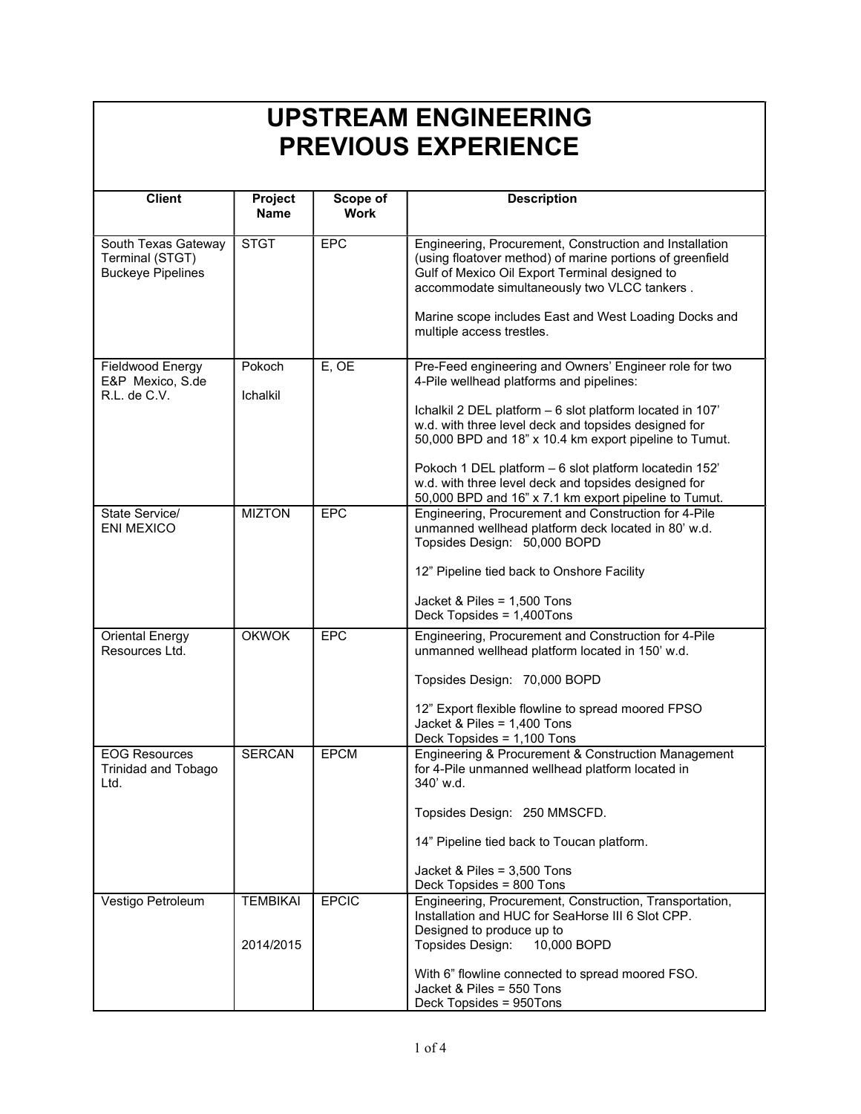| <b>Client</b>                                                      | Project<br><b>Name</b>       | Scope of<br><b>Work</b> | <b>Description</b>                                                                                                                                                                                                                                                                                                                                                                                                                                           |
|--------------------------------------------------------------------|------------------------------|-------------------------|--------------------------------------------------------------------------------------------------------------------------------------------------------------------------------------------------------------------------------------------------------------------------------------------------------------------------------------------------------------------------------------------------------------------------------------------------------------|
| South Texas Gateway<br>Terminal (STGT)<br><b>Buckeye Pipelines</b> | <b>STGT</b>                  | <b>EPC</b>              | Engineering, Procurement, Construction and Installation<br>(using floatover method) of marine portions of greenfield<br>Gulf of Mexico Oil Export Terminal designed to<br>accommodate simultaneously two VLCC tankers.<br>Marine scope includes East and West Loading Docks and<br>multiple access trestles.                                                                                                                                                 |
| Fieldwood Energy<br>E&P Mexico, S.de<br>R.L. de C.V.               | Pokoch<br>Ichalkil           | E, OE                   | Pre-Feed engineering and Owners' Engineer role for two<br>4-Pile wellhead platforms and pipelines:<br>Ichalkil 2 DEL platform - 6 slot platform located in 107'<br>w.d. with three level deck and topsides designed for<br>50,000 BPD and 18" x 10.4 km export pipeline to Tumut.<br>Pokoch 1 DEL platform - 6 slot platform locatedin 152'<br>w.d. with three level deck and topsides designed for<br>50,000 BPD and 16" x 7.1 km export pipeline to Tumut. |
| State Service/<br><b>ENI MEXICO</b>                                | <b>MIZTON</b>                | <b>EPC</b>              | Engineering, Procurement and Construction for 4-Pile<br>unmanned wellhead platform deck located in 80' w.d.<br>Topsides Design: 50,000 BOPD<br>12" Pipeline tied back to Onshore Facility<br>Jacket & Piles = 1,500 Tons<br>Deck Topsides = 1,400Tons                                                                                                                                                                                                        |
| <b>Oriental Energy</b><br>Resources Ltd.                           | <b>OKWOK</b>                 | <b>EPC</b>              | Engineering, Procurement and Construction for 4-Pile<br>unmanned wellhead platform located in 150' w.d.<br>Topsides Design: 70,000 BOPD<br>12" Export flexible flowline to spread moored FPSO<br>Jacket & Piles = 1,400 Tons<br>Deck Topsides = 1,100 Tons                                                                                                                                                                                                   |
| <b>EOG Resources</b><br><b>Trinidad and Tobago</b><br>Ltd.         | <b>SERCAN</b>                | <b>EPCM</b>             | Engineering & Procurement & Construction Management<br>for 4-Pile unmanned wellhead platform located in<br>340' w.d.<br>Topsides Design: 250 MMSCFD.<br>14" Pipeline tied back to Toucan platform.<br>Jacket & Piles = 3,500 Tons<br>Deck Topsides = 800 Tons                                                                                                                                                                                                |
| Vestigo Petroleum                                                  | <b>TEMBIKAI</b><br>2014/2015 | <b>EPCIC</b>            | Engineering, Procurement, Construction, Transportation,<br>Installation and HUC for SeaHorse III 6 Slot CPP.<br>Designed to produce up to<br>Topsides Design:<br>10,000 BOPD<br>With 6" flowline connected to spread moored FSO.<br>Jacket & Piles = 550 Tons<br>Deck Topsides = 950Tons                                                                                                                                                                     |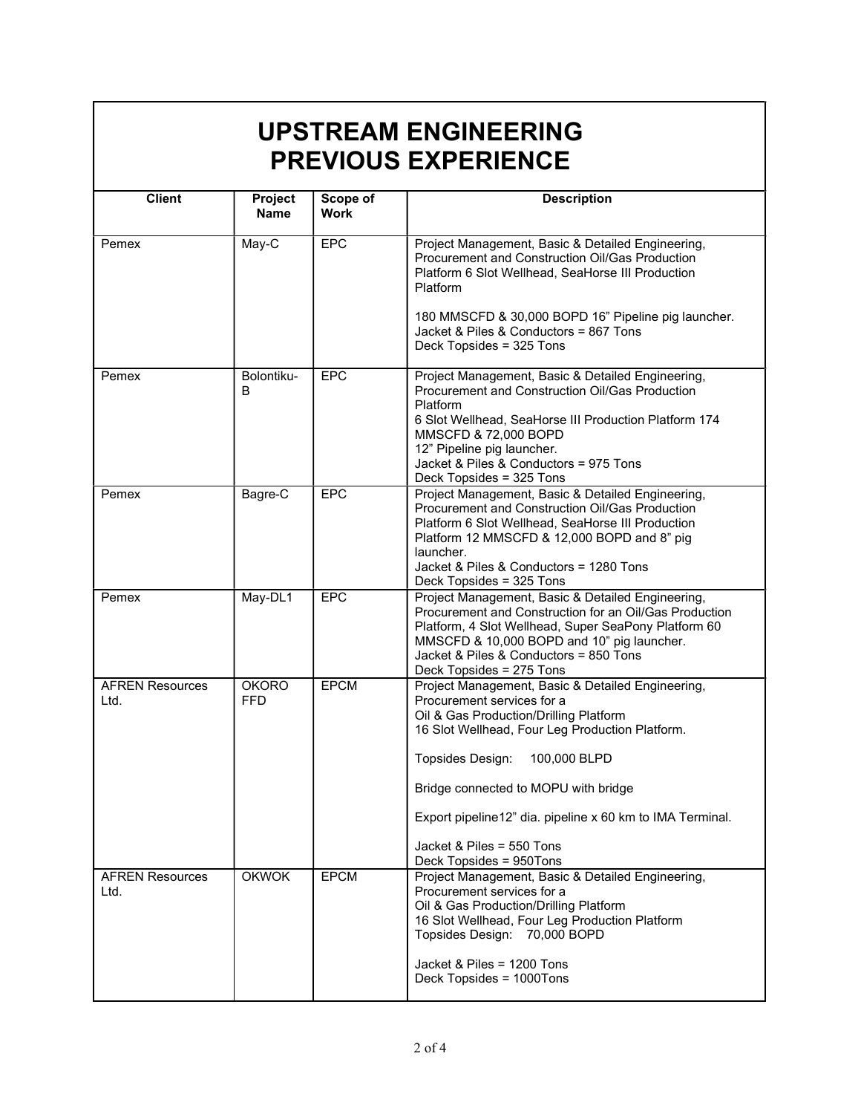| <b>Client</b>                  | Project<br><b>Name</b>     | Scope of<br><b>Work</b> | <b>Description</b>                                                                                                                                                                                                                                                                                                                                                            |
|--------------------------------|----------------------------|-------------------------|-------------------------------------------------------------------------------------------------------------------------------------------------------------------------------------------------------------------------------------------------------------------------------------------------------------------------------------------------------------------------------|
| Pemex                          | May-C                      | <b>EPC</b>              | Project Management, Basic & Detailed Engineering,<br>Procurement and Construction Oil/Gas Production<br>Platform 6 Slot Wellhead, SeaHorse III Production<br>Platform                                                                                                                                                                                                         |
|                                |                            |                         | 180 MMSCFD & 30,000 BOPD 16" Pipeline pig launcher.<br>Jacket & Piles & Conductors = 867 Tons<br>Deck Topsides = 325 Tons                                                                                                                                                                                                                                                     |
| Pemex                          | Bolontiku-<br>В            | <b>EPC</b>              | Project Management, Basic & Detailed Engineering,<br>Procurement and Construction Oil/Gas Production<br>Platform<br>6 Slot Wellhead, SeaHorse III Production Platform 174<br>MMSCFD & 72,000 BOPD<br>12" Pipeline pig launcher.<br>Jacket & Piles & Conductors = 975 Tons                                                                                                     |
|                                |                            |                         | Deck Topsides = 325 Tons                                                                                                                                                                                                                                                                                                                                                      |
| Pemex                          | Bagre-C                    | <b>EPC</b>              | Project Management, Basic & Detailed Engineering,<br>Procurement and Construction Oil/Gas Production<br>Platform 6 Slot Wellhead, SeaHorse III Production<br>Platform 12 MMSCFD & 12,000 BOPD and 8" pig<br>launcher.<br>Jacket & Piles & Conductors = 1280 Tons<br>Deck Topsides = 325 Tons                                                                                  |
| Pemex                          | May-DL1                    | <b>EPC</b>              | Project Management, Basic & Detailed Engineering,<br>Procurement and Construction for an Oil/Gas Production<br>Platform, 4 Slot Wellhead, Super SeaPony Platform 60<br>MMSCFD & 10,000 BOPD and 10" pig launcher.<br>Jacket & Piles & Conductors = 850 Tons<br>Deck Topsides = 275 Tons                                                                                       |
| <b>AFREN Resources</b><br>Ltd. | <b>OKORO</b><br><b>FFD</b> | <b>EPCM</b>             | Project Management, Basic & Detailed Engineering,<br>Procurement services for a<br>Oil & Gas Production/Drilling Platform<br>16 Slot Wellhead, Four Leg Production Platform.<br>Topsides Design:<br>100,000 BLPD<br>Bridge connected to MOPU with bridge<br>Export pipeline12" dia. pipeline x 60 km to IMA Terminal.<br>Jacket & Piles = 550 Tons<br>Deck Topsides = 950Tons |
| <b>AFREN Resources</b><br>Ltd. | <b>OKWOK</b>               | <b>EPCM</b>             | Project Management, Basic & Detailed Engineering,<br>Procurement services for a<br>Oil & Gas Production/Drilling Platform<br>16 Slot Wellhead, Four Leg Production Platform<br>Topsides Design: 70,000 BOPD<br>Jacket & Piles = 1200 Tons<br>Deck Topsides = 1000Tons                                                                                                         |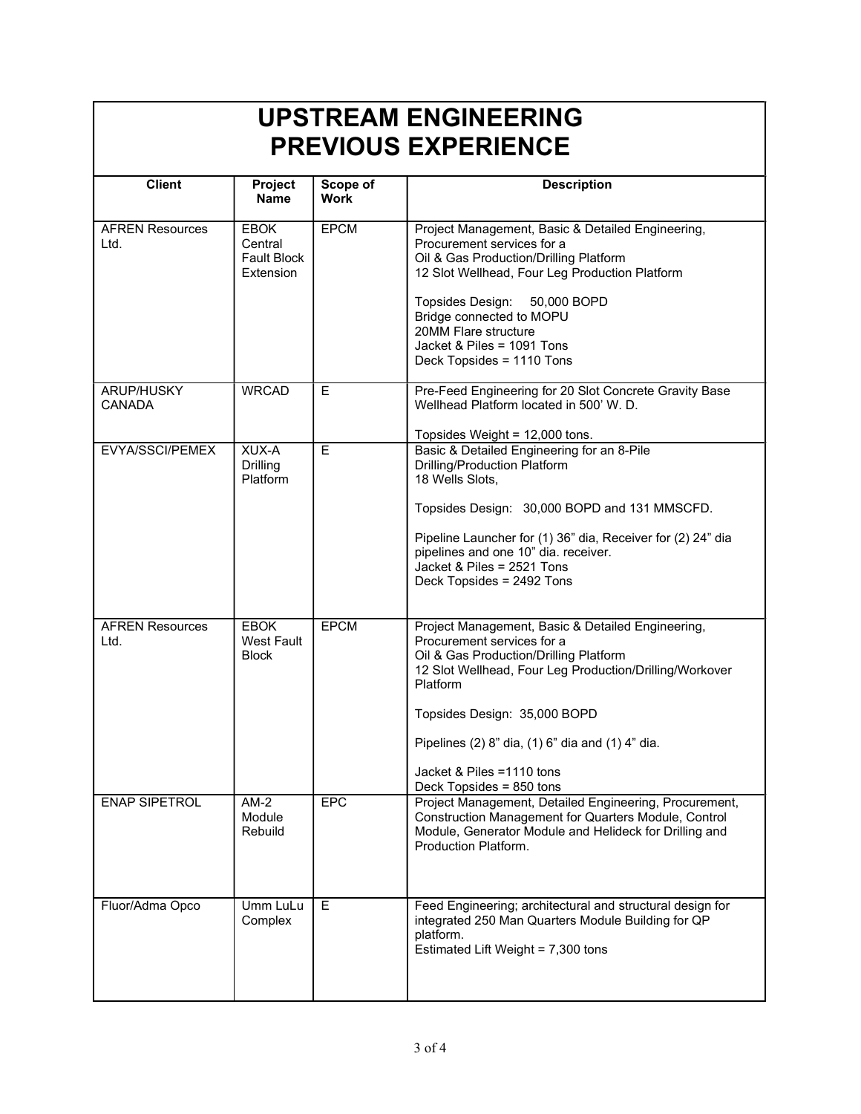| <b>Client</b>                  | Project<br><b>Name</b>                                    | Scope of<br><b>Work</b> | <b>Description</b>                                                                                                                                                                                                                                                                                                                             |
|--------------------------------|-----------------------------------------------------------|-------------------------|------------------------------------------------------------------------------------------------------------------------------------------------------------------------------------------------------------------------------------------------------------------------------------------------------------------------------------------------|
|                                |                                                           |                         |                                                                                                                                                                                                                                                                                                                                                |
| <b>AFREN Resources</b><br>Ltd. | <b>EBOK</b><br>Central<br><b>Fault Block</b><br>Extension | <b>EPCM</b>             | Project Management, Basic & Detailed Engineering,<br>Procurement services for a<br>Oil & Gas Production/Drilling Platform<br>12 Slot Wellhead, Four Leg Production Platform<br>Topsides Design:<br>50,000 BOPD<br>Bridge connected to MOPU<br>20MM Flare structure<br>Jacket & Piles = 1091 Tons<br>Deck Topsides = 1110 Tons                  |
| ARUP/HUSKY<br><b>CANADA</b>    | <b>WRCAD</b>                                              | E                       | Pre-Feed Engineering for 20 Slot Concrete Gravity Base<br>Wellhead Platform located in 500' W. D.<br>Topsides Weight = 12,000 tons.                                                                                                                                                                                                            |
| EVYA/SSCI/PEMEX                | XUX-A<br>Drilling<br>Platform                             | Е                       | Basic & Detailed Engineering for an 8-Pile<br>Drilling/Production Platform<br>18 Wells Slots,<br>Topsides Design: 30,000 BOPD and 131 MMSCFD.<br>Pipeline Launcher for (1) 36" dia, Receiver for (2) 24" dia<br>pipelines and one 10" dia. receiver.<br>Jacket & Piles = 2521 Tons<br>Deck Topsides = 2492 Tons                                |
| <b>AFREN Resources</b><br>Ltd. | <b>EBOK</b><br><b>West Fault</b><br><b>Block</b>          | <b>EPCM</b>             | Project Management, Basic & Detailed Engineering,<br>Procurement services for a<br>Oil & Gas Production/Drilling Platform<br>12 Slot Wellhead, Four Leg Production/Drilling/Workover<br>Platform<br>Topsides Design: 35,000 BOPD<br>Pipelines (2) 8" dia, (1) 6" dia and (1) 4" dia.<br>Jacket & Piles = 1110 tons<br>Deck Topsides = 850 tons |
| <b>ENAP SIPETROL</b>           | $AM-2$<br>Module<br>Rebuild                               | EPC                     | Project Management, Detailed Engineering, Procurement,<br>Construction Management for Quarters Module, Control<br>Module, Generator Module and Helideck for Drilling and<br>Production Platform.                                                                                                                                               |
| Fluor/Adma Opco                | Umm LuLu<br>Complex                                       | E                       | Feed Engineering; architectural and structural design for<br>integrated 250 Man Quarters Module Building for QP<br>platform.<br>Estimated Lift Weight = 7,300 tons                                                                                                                                                                             |